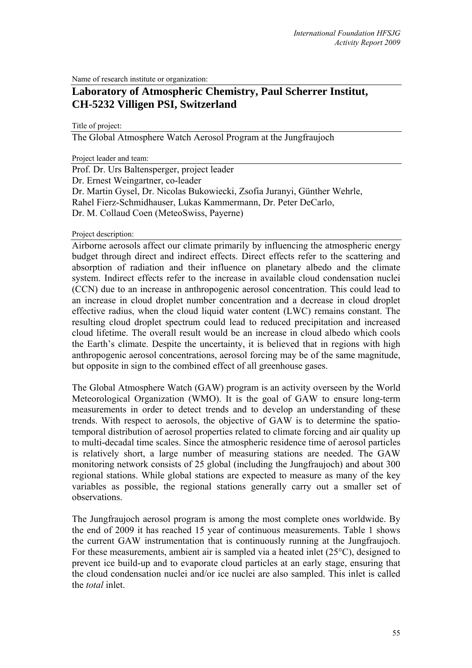Name of research institute or organization:

# **Laboratory of Atmospheric Chemistry, Paul Scherrer Institut, CH-5232 Villigen PSI, Switzerland**

Title of project:

The Global Atmosphere Watch Aerosol Program at the Jungfraujoch

Project leader and team:

Prof. Dr. Urs Baltensperger, project leader Dr. Ernest Weingartner, co-leader Dr. Martin Gysel, Dr. Nicolas Bukowiecki, Zsofia Juranyi, Günther Wehrle, Rahel Fierz-Schmidhauser, Lukas Kammermann, Dr. Peter DeCarlo, Dr. M. Collaud Coen (MeteoSwiss, Payerne)

Project description:

Airborne aerosols affect our climate primarily by influencing the atmospheric energy budget through direct and indirect effects. Direct effects refer to the scattering and absorption of radiation and their influence on planetary albedo and the climate system. Indirect effects refer to the increase in available cloud condensation nuclei (CCN) due to an increase in anthropogenic aerosol concentration. This could lead to an increase in cloud droplet number concentration and a decrease in cloud droplet effective radius, when the cloud liquid water content (LWC) remains constant. The resulting cloud droplet spectrum could lead to reduced precipitation and increased cloud lifetime. The overall result would be an increase in cloud albedo which cools the Earth's climate. Despite the uncertainty, it is believed that in regions with high anthropogenic aerosol concentrations, aerosol forcing may be of the same magnitude, but opposite in sign to the combined effect of all greenhouse gases.

The Global Atmosphere Watch (GAW) program is an activity overseen by the World Meteorological Organization (WMO). It is the goal of GAW to ensure long-term measurements in order to detect trends and to develop an understanding of these trends. With respect to aerosols, the objective of GAW is to determine the spatiotemporal distribution of aerosol properties related to climate forcing and air quality up to multi-decadal time scales. Since the atmospheric residence time of aerosol particles is relatively short, a large number of measuring stations are needed. The GAW monitoring network consists of 25 global (including the Jungfraujoch) and about 300 regional stations. While global stations are expected to measure as many of the key variables as possible, the regional stations generally carry out a smaller set of observations.

The Jungfraujoch aerosol program is among the most complete ones worldwide. By the end of 2009 it has reached 15 year of continuous measurements. Table 1 shows the current GAW instrumentation that is continuously running at the Jungfraujoch. For these measurements, ambient air is sampled via a heated inlet (25°C), designed to prevent ice build-up and to evaporate cloud particles at an early stage, ensuring that the cloud condensation nuclei and/or ice nuclei are also sampled. This inlet is called the *total* inlet.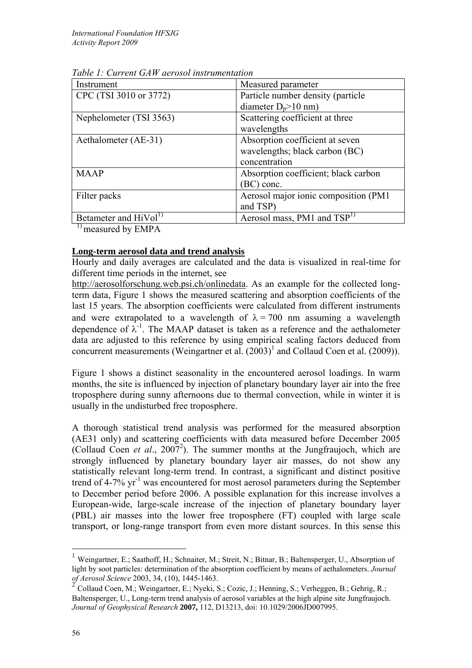| Instrument                        | Measured parameter                    |
|-----------------------------------|---------------------------------------|
| CPC (TSI 3010 or 3772)            | Particle number density (particle     |
|                                   | diameter $D_p$ >10 nm)                |
| Nephelometer (TSI 3563)           | Scattering coefficient at three       |
|                                   | wavelengths                           |
| Aethalometer (AE-31)              | Absorption coefficient at seven       |
|                                   | wavelengths; black carbon (BC)        |
|                                   | concentration                         |
| <b>MAAP</b>                       | Absorption coefficient; black carbon  |
|                                   | (BC) conc.                            |
| Filter packs                      | Aerosol major ionic composition (PM1) |
|                                   | and TSP)                              |
| Betameter and HiVol <sup>1)</sup> | Aerosol mass, PM1 and $TSP1$          |

*Table 1: Current GAW aerosol instrumentation* 

<sup>1)</sup> measured by EMPA

## **Long-term aerosol data and trend analysis**

Hourly and daily averages are calculated and the data is visualized in real-time for different time periods in the internet, see

http://aerosolforschung.web.psi.ch/onlinedata. As an example for the collected longterm data, Figure 1 shows the measured scattering and absorption coefficients of the last 15 years. The absorption coefficients were calculated from different instruments and were extrapolated to a wavelength of  $\lambda = 700$  nm assuming a wavelength dependence of  $\lambda^{-1}$ . The MAAP dataset is taken as a reference and the aethalometer data are adjusted to this reference by using empirical scaling factors deduced from concurrent measurements (Weingartner et al.  $(2003)^1$  and Collaud Coen et al.  $(2009)$ ).

Figure 1 shows a distinct seasonality in the encountered aerosol loadings. In warm months, the site is influenced by injection of planetary boundary layer air into the free troposphere during sunny afternoons due to thermal convection, while in winter it is usually in the undisturbed free troposphere.

A thorough statistical trend analysis was performed for the measured absorption (AE31 only) and scattering coefficients with data measured before December 2005 (Collaud Coen *et al.*, 2007<sup>2</sup>). The summer months at the Jungfraujoch, which are strongly influenced by planetary boundary layer air masses, do not show any statistically relevant long-term trend. In contrast, a significant and distinct positive trend of 4-7%  $yr^{-1}$  was encountered for most aerosol parameters during the September to December period before 2006. A possible explanation for this increase involves a European-wide, large-scale increase of the injection of planetary boundary layer (PBL) air masses into the lower free troposphere (FT) coupled with large scale transport, or long-range transport from even more distant sources. In this sense this

1

<sup>&</sup>lt;sup>1</sup> Weingartner, E.; Saathoff, H.; Schnaiter, M.; Streit, N.; Bitnar, B.; Baltensperger, U., Absorption of light by soot particles: determination of the absorption coefficient by means of aethalometers. *Journal of Aerosol Science* 2003, 34, (10), 1445-1463.

<sup>2</sup> Collaud Coen, M.; Weingartner, E.; Nyeki, S.; Cozic, J.; Henning, S.; Verheggen, B.; Gehrig, R.; Baltensperger, U., Long-term trend analysis of aerosol variables at the high alpine site Jungfraujoch. *Journal of Geophysical Research* **2007,** 112, D13213, doi: 10.1029/2006JD007995.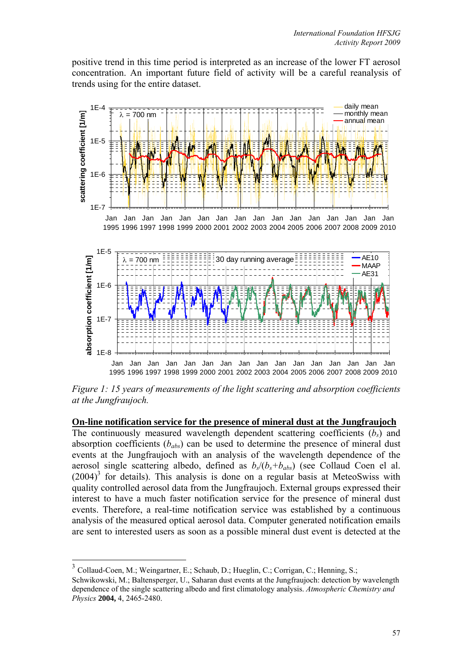positive trend in this time period is interpreted as an increase of the lower FT aerosol concentration. An important future field of activity will be a careful reanalysis of trends using for the entire dataset.



*Figure 1: 15 years of measurements of the light scattering and absorption coefficients at the Jungfraujoch.* 

**On-line notification service for the presence of mineral dust at the Jungfraujoch** The continuously measured wavelength dependent scattering coefficients  $(b<sub>s</sub>)$  and absorption coefficients  $(b_{abs})$  can be used to determine the presence of mineral dust events at the Jungfraujoch with an analysis of the wavelength dependence of the aerosol single scattering albedo, defined as  $b_s/(b_s+b_{abs})$  (see Collaud Coen el al.  $(2004)^3$  for details). This analysis is done on a regular basis at MeteoSwiss with quality controlled aerosol data from the Jungfraujoch. External groups expressed their interest to have a much faster notification service for the presence of mineral dust events. Therefore, a real-time notification service was established by a continuous analysis of the measured optical aerosol data. Computer generated notification emails are sent to interested users as soon as a possible mineral dust event is detected at the

<u>.</u>

<sup>3</sup> Collaud-Coen, M.; Weingartner, E.; Schaub, D.; Hueglin, C.; Corrigan, C.; Henning, S.;

Schwikowski, M.; Baltensperger, U., Saharan dust events at the Jungfraujoch: detection by wavelength dependence of the single scattering albedo and first climatology analysis. *Atmospheric Chemistry and Physics* **2004,** 4, 2465-2480.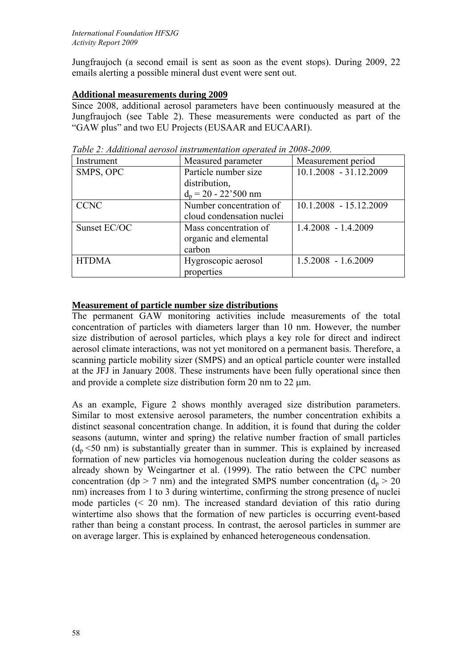Jungfraujoch (a second email is sent as soon as the event stops). During 2009, 22 emails alerting a possible mineral dust event were sent out.

## **Additional measurements during 2009**

Since 2008, additional aerosol parameters have been continuously measured at the Jungfraujoch (see Table 2). These measurements were conducted as part of the "GAW plus" and two EU Projects (EUSAAR and EUCAARI).

| Instrument   | Measured parameter            | Measurement period     |
|--------------|-------------------------------|------------------------|
| SMPS, OPC    | Particle number size          | 10.1.2008 - 31.12.2009 |
|              | distribution,                 |                        |
|              | $d_p = 20 - 22^{\circ}500$ nm |                        |
| <b>CCNC</b>  | Number concentration of       | 10.1.2008 - 15.12.2009 |
|              | cloud condensation nuclei     |                        |
| Sunset EC/OC | Mass concentration of         | $1.4.2008 - 1.4.2009$  |
|              | organic and elemental         |                        |
|              | carbon                        |                        |
| <b>HTDMA</b> | Hygroscopic aerosol           | $1.5.2008 - 1.6.2009$  |
|              | properties                    |                        |

*Table 2: Additional aerosol instrumentation operated in 2008-2009.* 

## **Measurement of particle number size distributions**

The permanent GAW monitoring activities include measurements of the total concentration of particles with diameters larger than 10 nm. However, the number size distribution of aerosol particles, which plays a key role for direct and indirect aerosol climate interactions, was not yet monitored on a permanent basis. Therefore, a scanning particle mobility sizer (SMPS) and an optical particle counter were installed at the JFJ in January 2008. These instruments have been fully operational since then and provide a complete size distribution form 20 nm to 22  $\mu$ m.

As an example, Figure 2 shows monthly averaged size distribution parameters. Similar to most extensive aerosol parameters, the number concentration exhibits a distinct seasonal concentration change. In addition, it is found that during the colder seasons (autumn, winter and spring) the relative number fraction of small particles  $(d_n \leq 50 \text{ nm})$  is substantially greater than in summer. This is explained by increased formation of new particles via homogenous nucleation during the colder seasons as already shown by Weingartner et al. (1999). The ratio between the CPC number concentration (dp > 7 nm) and the integrated SMPS number concentration ( $d_p$  > 20 nm) increases from 1 to 3 during wintertime, confirming the strong presence of nuclei mode particles  $\leq 20$  nm). The increased standard deviation of this ratio during wintertime also shows that the formation of new particles is occurring event-based rather than being a constant process. In contrast, the aerosol particles in summer are on average larger. This is explained by enhanced heterogeneous condensation.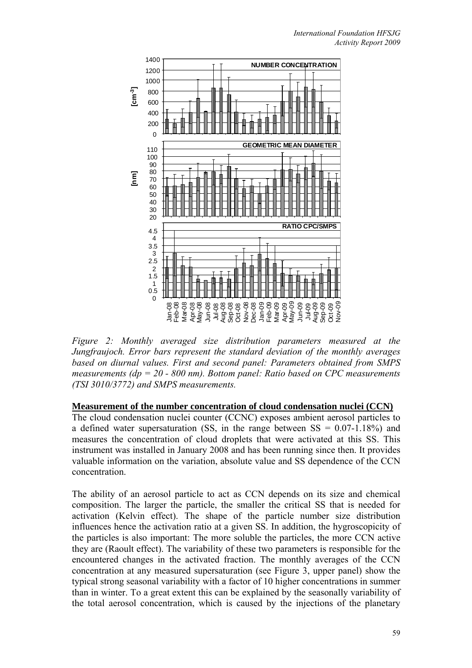

*Figure 2: Monthly averaged size distribution parameters measured at the Jungfraujoch. Error bars represent the standard deviation of the monthly averages based on diurnal values. First and second panel: Parameters obtained from SMPS measurements (dp = 20 - 800 nm). Bottom panel: Ratio based on CPC measurements (TSI 3010/3772) and SMPS measurements.* 

### **Measurement of the number concentration of cloud condensation nuclei (CCN)**

The cloud condensation nuclei counter (CCNC) exposes ambient aerosol particles to a defined water supersaturation (SS, in the range between  $SS = 0.07 - 1.18\%$ ) and measures the concentration of cloud droplets that were activated at this SS. This instrument was installed in January 2008 and has been running since then. It provides valuable information on the variation, absolute value and SS dependence of the CCN concentration.

The ability of an aerosol particle to act as CCN depends on its size and chemical composition. The larger the particle, the smaller the critical SS that is needed for activation (Kelvin effect). The shape of the particle number size distribution influences hence the activation ratio at a given SS. In addition, the hygroscopicity of the particles is also important: The more soluble the particles, the more CCN active they are (Raoult effect). The variability of these two parameters is responsible for the encountered changes in the activated fraction. The monthly averages of the CCN concentration at any measured supersaturation (see Figure 3, upper panel) show the typical strong seasonal variability with a factor of 10 higher concentrations in summer than in winter. To a great extent this can be explained by the seasonally variability of the total aerosol concentration, which is caused by the injections of the planetary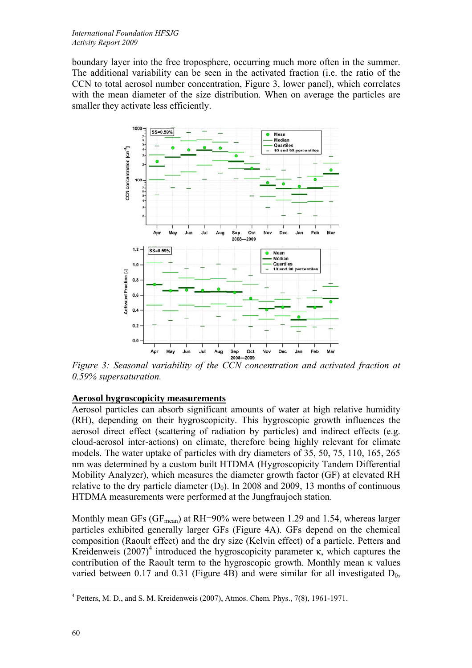boundary layer into the free troposphere, occurring much more often in the summer. The additional variability can be seen in the activated fraction (i.e. the ratio of the CCN to total aerosol number concentration, Figure 3, lower panel), which correlates with the mean diameter of the size distribution. When on average the particles are smaller they activate less efficiently.



*Figure 3: Seasonal variability of the CCN concentration and activated fraction at 0.59% supersaturation.* 

## **Aerosol hygroscopicity measurements**

Aerosol particles can absorb significant amounts of water at high relative humidity (RH), depending on their hygroscopicity. This hygroscopic growth influences the aerosol direct effect (scattering of radiation by particles) and indirect effects (e.g. cloud-aerosol inter-actions) on climate, therefore being highly relevant for climate models. The water uptake of particles with dry diameters of 35, 50, 75, 110, 165, 265 nm was determined by a custom built HTDMA (Hygroscopicity Tandem Differential Mobility Analyzer), which measures the diameter growth factor (GF) at elevated RH relative to the dry particle diameter  $(D_0)$ . In 2008 and 2009, 13 months of continuous HTDMA measurements were performed at the Jungfraujoch station.

Monthly mean GFs (GF<sub>mean</sub>) at RH=90% were between 1.29 and 1.54, whereas larger particles exhibited generally larger GFs (Figure 4A). GFs depend on the chemical composition (Raoult effect) and the dry size (Kelvin effect) of a particle. Petters and Kreidenweis  $(2007)^4$  introduced the hygroscopicity parameter κ, which captures the contribution of the Raoult term to the hygroscopic growth. Monthly mean κ values varied between 0.17 and 0.31 (Figure 4B) and were similar for all investigated  $D_0$ ,

<sup>1</sup>  $4$  Petters, M. D., and S. M. Kreidenweis (2007), Atmos. Chem. Phys., 7(8), 1961-1971.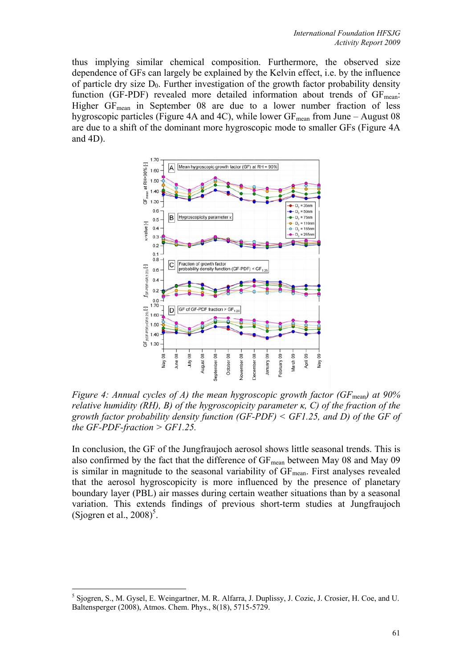thus implying similar chemical composition. Furthermore, the observed size dependence of GFs can largely be explained by the Kelvin effect, i.e. by the influence of particle dry size  $D_0$ . Further investigation of the growth factor probability density function (GF-PDF) revealed more detailed information about trends of  $GF_{mean}$ : Higher  $GF_{mean}$  in September 08 are due to a lower number fraction of less hygroscopic particles (Figure 4A and 4C), while lower  $GF_{mean}$  from June – August 08 are due to a shift of the dominant more hygroscopic mode to smaller GFs (Figure 4A and 4D).



*Figure 4: Annual cycles of A) the mean hygroscopic growth factor (GF*<sub>mean</sub>) at 90% *relative humidity (RH), B) of the hygroscopicity parameter κ, C) of the fraction of the growth factor probability density function (GF-PDF) < GF1.25, and D) of the GF of the GF-PDF-fraction > GF1.25.* 

In conclusion, the GF of the Jungfraujoch aerosol shows little seasonal trends. This is also confirmed by the fact that the difference of GF<sub>mean</sub> between May 08 and May 09 is similar in magnitude to the seasonal variability of  $GF_{mean}$ . First analyses revealed that the aerosol hygroscopicity is more influenced by the presence of planetary boundary layer (PBL) air masses during certain weather situations than by a seasonal variation. This extends findings of previous short-term studies at Jungfraujoch (Sjogren et al.,  $2008$ )<sup>5</sup>.

1

<sup>&</sup>lt;sup>5</sup> Sjogren, S., M. Gysel, E. Weingartner, M. R. Alfarra, J. Duplissy, J. Cozic, J. Crosier, H. Coe, and U. Baltensperger (2008), Atmos. Chem. Phys., 8(18), 5715-5729.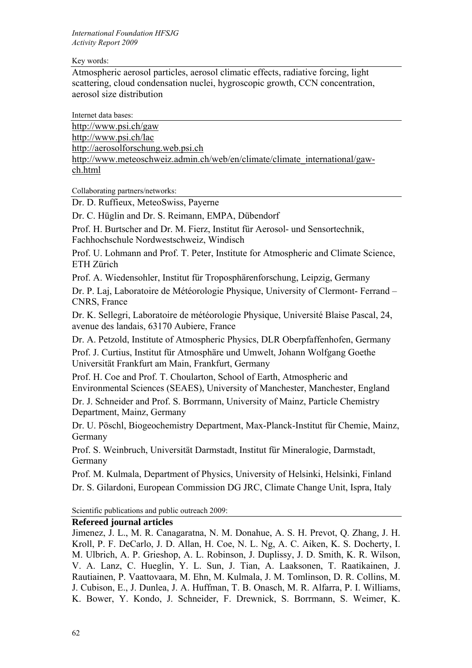#### Key words:

Atmospheric aerosol particles, aerosol climatic effects, radiative forcing, light scattering, cloud condensation nuclei, hygroscopic growth, CCN concentration, aerosol size distribution

Internet data bases: http://www.psi.ch/gaw http://www.psi.ch/lac http://aerosolforschung.web.psi.ch http://www.meteoschweiz.admin.ch/web/en/climate/climate\_international/gawch.html

Collaborating partners/networks:

Dr. D. Ruffieux, MeteoSwiss, Payerne

Dr. C. Hüglin and Dr. S. Reimann, EMPA, Dübendorf

Prof. H. Burtscher and Dr. M. Fierz, Institut für Aerosol- und Sensortechnik, Fachhochschule Nordwestschweiz, Windisch

Prof. U. Lohmann and Prof. T. Peter, Institute for Atmospheric and Climate Science, ETH Zürich

Prof. A. Wiedensohler, Institut für Troposphärenforschung, Leipzig, Germany

Dr. P. Laj, Laboratoire de Météorologie Physique, University of Clermont- Ferrand – CNRS, France

Dr. K. Sellegri, Laboratoire de météorologie Physique, Université Blaise Pascal, 24, avenue des landais, 63170 Aubiere, France

Dr. A. Petzold, Institute of Atmospheric Physics, DLR Oberpfaffenhofen, Germany Prof. J. Curtius, Institut für Atmosphäre und Umwelt, Johann Wolfgang Goethe Universität Frankfurt am Main, Frankfurt, Germany

Prof. H. Coe and Prof. T. Choularton, School of Earth, Atmospheric and Environmental Sciences (SEAES), University of Manchester, Manchester, England

Dr. J. Schneider and Prof. S. Borrmann, University of Mainz, Particle Chemistry Department, Mainz, Germany

Dr. U. Pöschl, Biogeochemistry Department, Max-Planck-Institut für Chemie, Mainz, Germany

Prof. S. Weinbruch, Universität Darmstadt, Institut für Mineralogie, Darmstadt, Germany

Prof. M. Kulmala, Department of Physics, University of Helsinki, Helsinki, Finland Dr. S. Gilardoni, European Commission DG JRC, Climate Change Unit, Ispra, Italy

Scientific publications and public outreach 2009:

## **Refereed journal articles**

Jimenez, J. L., M. R. Canagaratna, N. M. Donahue, A. S. H. Prevot, Q. Zhang, J. H. Kroll, P. F. DeCarlo, J. D. Allan, H. Coe, N. L. Ng, A. C. Aiken, K. S. Docherty, I. M. Ulbrich, A. P. Grieshop, A. L. Robinson, J. Duplissy, J. D. Smith, K. R. Wilson, V. A. Lanz, C. Hueglin, Y. L. Sun, J. Tian, A. Laaksonen, T. Raatikainen, J. Rautiainen, P. Vaattovaara, M. Ehn, M. Kulmala, J. M. Tomlinson, D. R. Collins, M. J. Cubison, E., J. Dunlea, J. A. Huffman, T. B. Onasch, M. R. Alfarra, P. I. Williams, K. Bower, Y. Kondo, J. Schneider, F. Drewnick, S. Borrmann, S. Weimer, K.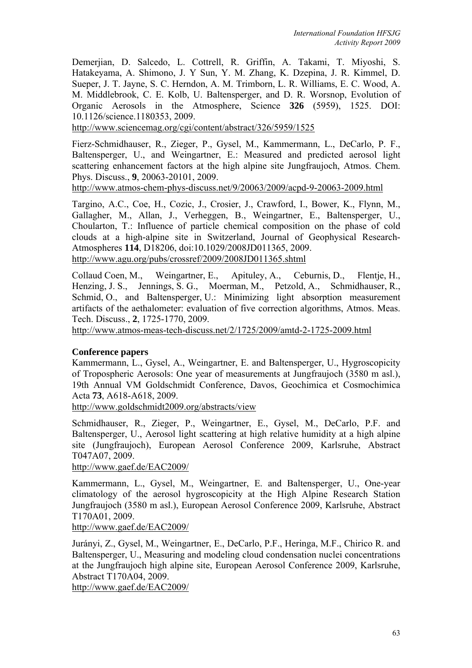Demerjian, D. Salcedo, L. Cottrell, R. Griffin, A. Takami, T. Miyoshi, S. Hatakeyama, A. Shimono, J. Y Sun, Y. M. Zhang, K. Dzepina, J. R. Kimmel, D. Sueper, J. T. Jayne, S. C. Herndon, A. M. Trimborn, L. R. Williams, E. C. Wood, A. M. Middlebrook, C. E. Kolb, U. Baltensperger, and D. R. Worsnop, Evolution of Organic Aerosols in the Atmosphere, Science **326** (5959), 1525. DOI: 10.1126/science.1180353, 2009.

http://www.sciencemag.org/cgi/content/abstract/326/5959/1525

Fierz-Schmidhauser, R., Zieger, P., Gysel, M., Kammermann, L., DeCarlo, P. F., Baltensperger, U., and Weingartner, E.: Measured and predicted aerosol light scattering enhancement factors at the high alpine site Jungfraujoch, Atmos. Chem. Phys. Discuss., **9**, 20063-20101, 2009.

http://www.atmos-chem-phys-discuss.net/9/20063/2009/acpd-9-20063-2009.html

Targino, A.C., Coe, H., Cozic, J., Crosier, J., Crawford, I., Bower, K., Flynn, M., Gallagher, M., Allan, J., Verheggen, B., Weingartner, E., Baltensperger, U., Choularton, T.: Influence of particle chemical composition on the phase of cold clouds at a high-alpine site in Switzerland, Journal of Geophysical Research-Atmospheres **114**, D18206, doi:10.1029/2008JD011365, 2009. http://www.agu.org/pubs/crossref/2009/2008JD011365.shtml

Collaud Coen, M., Weingartner, E., Apituley, A., Ceburnis, D., Flentje, H., Henzing, J. S., Jennings, S. G., Moerman, M., Petzold, A., Schmidhauser, R., Schmid, O., and Baltensperger, U.: Minimizing light absorption measurement artifacts of the aethalometer: evaluation of five correction algorithms, Atmos. Meas. Tech. Discuss., **2**, 1725-1770, 2009.

http://www.atmos-meas-tech-discuss.net/2/1725/2009/amtd-2-1725-2009.html

### **Conference papers**

Kammermann, L., Gysel, A., Weingartner, E. and Baltensperger, U., Hygroscopicity of Tropospheric Aerosols: One year of measurements at Jungfraujoch (3580 m asl.), 19th Annual VM Goldschmidt Conference, Davos, Geochimica et Cosmochimica Acta **73**, A618-A618, 2009.

http://www.goldschmidt2009.org/abstracts/view

Schmidhauser, R., Zieger, P., Weingartner, E., Gysel, M., DeCarlo, P.F. and Baltensperger, U., Aerosol light scattering at high relative humidity at a high alpine site (Jungfraujoch), European Aerosol Conference 2009, Karlsruhe, Abstract T047A07, 2009.

http://www.gaef.de/EAC2009/

Kammermann, L., Gysel, M., Weingartner, E. and Baltensperger, U., One-year climatology of the aerosol hygroscopicity at the High Alpine Research Station Jungfraujoch (3580 m asl.), European Aerosol Conference 2009, Karlsruhe, Abstract T170A01, 2009.

http://www.gaef.de/EAC2009/

Jurányi, Z., Gysel, M., Weingartner, E., DeCarlo, P.F., Heringa, M.F., Chirico R. and Baltensperger, U., Measuring and modeling cloud condensation nuclei concentrations at the Jungfraujoch high alpine site, European Aerosol Conference 2009, Karlsruhe, Abstract T170A04, 2009.

http://www.gaef.de/EAC2009/